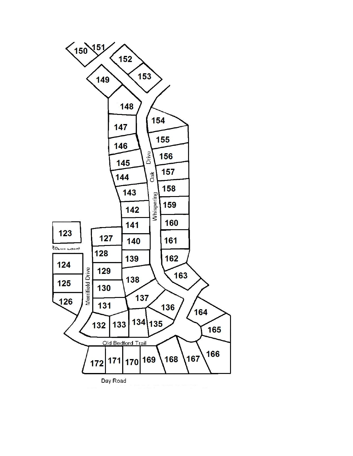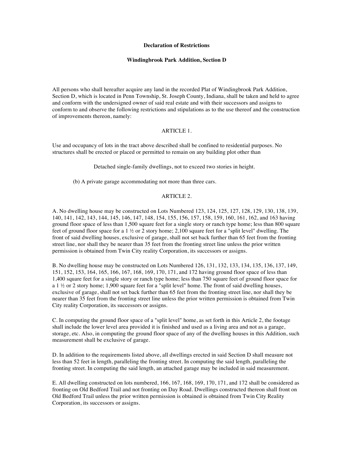### **Declaration of Restrictions**

## **Windingbrook Park Addition, Section D**

All persons who shall hereafter acquire any land in the recorded Plat of Windingbrook Park Addition, Section D, which is located in Penn Township, St. Joseph County, Indiana, shall be taken and held to agree and conform with the undersigned owner of said real estate and with their successors and assigns to conform to and observe the following restrictions and stipulations as to the use thereof and the construction of improvements thereon, namely:

### ARTICLE 1.

Use and occupancy of lots in the tract above described shall be confined to residential purposes. No structures shall be erected or placed or permitted to remain on any building plot other than

Detached single-family dwellings, not to exceed two stories in height.

(b) A private garage accommodating not more than three cars.

## ARTICLE 2.

A. No dwelling house may be constructed on Lots Numbered 123, 124, 125, 127, 128, 129, 130, 138, 139, 140, 141, 142, 143, 144, 145, 146, 147, 148, 154, 155, 156, 157, 158, 159, 160, 161, 162, and 163 having ground floor space of less than 1,500 square feet for a single story or ranch type home; less than 800 square feet of ground floor space for a 1 ½ or 2 story home; 2,100 square feet for a "split level" dwelling. The front of said dwelling houses, exclusive of garage, shall not set back further than 65 feet from the fronting street line, nor shall they be nearer than 35 feet from the fronting street line unless the prior written permission is obtained from Twin City reality Corporation, its successors or assigns.

B. No dwelling house may be constructed on Lots Numbered 126, 131, 132, 133, 134, 135, 136, 137, 149, 151, 152, 153, 164, 165, 166, 167, 168, 169, 170, 171, and 172 having ground floor space of less than 1,400 square feet for a single story or ranch type home; less than 750 square feet of ground floor space for a 1 ½ or 2 story home; 1,900 square feet for a "split level" home. The front of said dwelling houses, exclusive of garage, shall not set back further than 65 feet from the fronting street line, nor shall they be nearer than 35 feet from the fronting street line unless the prior written permission is obtained from Twin City reality Corporation, its successors or assigns.

C. In computing the ground floor space of a "split level" home, as set forth in this Article 2, the footage shall include the lower level area provided it is finished and used as a living area and not as a garage, storage, etc. Also, in computing the ground floor space of any of the dwelling houses in this Addition, such measurement shall be exclusive of garage.

D. In addition to the requirements listed above, all dwellings erected in said Section D shall measure not less than 52 feet in length, paralleling the fronting street. In computing the said length, paralleling the fronting street. In computing the said length, an attached garage may be included in said measurement.

E. All dwelling constructed on lots numbered, 166, 167, 168, 169, 170, 171, and 172 shall be considered as fronting on Old Bedford Trail and not fronting on Day Road. Dwellings constructed thereon shall front on Old Bedford Trail unless the prior written permission is obtained is obtained from Twin City Reality Corporation, its successors or assigns.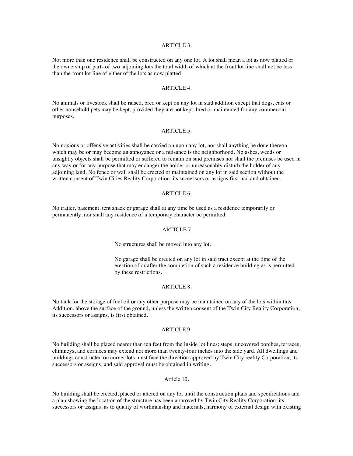#### ARTICLE 3.

Not more than one residence shall be constructed on any one lot. A lot shall mean a lot as now platted or the ownership of parts of two adjoining lots the total width of which at the front lot line shall not be less than the front lot line of either of the lots as now platted.

#### ARTICLE 4.

No animals or livestock shall be raised, bred or kept on any lot in said addition except that dogs, cats or other household pets may be kept, provided they are not kept, bred or maintained for any commercial purposes.

#### ARTICLE 5.

No noxious or offensive activities shall be carried on upon any lot, nor shall anything be done thereon which may be or may become an annoyance or a nuisance is the neighborhood. No ashes, weeds or unsightly objects shall be permitted or suffered to remain on said premises nor shall the premises be used in any way or for any purpose that may endanger the holder or unreasonably disturb the holder of any adjoining land. No fence or wall shall be erected or maintained on any lot in said section without the written consent of Twin Cities Reality Corporation, its successors or assigns first had and obtained.

## ARTICLE 6.

No trailer, basement, tent shack or garage shall at any time be used as a residence temporarily or permanently, nor shall any residence of a temporary character be permitted.

#### ARTICLE 7

No structures shall be moved into any lot.

No garage shall be erected on any lot in said tract except at the time of the erection of or after the completion of such a residence building as is permitted by these restrictions.

#### ARTICLE 8.

No tank for the storage of fuel oil or any other purpose may be maintained on any of the lots within this Addition, above the surface of the ground, unless the written consent of the Twin City Reality Corporation, its successors or assigns, is first obtained.

## ARTICLE 9.

No building shall be placed nearer than ten feet from the inside lot lines; steps, uncovered porches, terraces, chimneys, and cornices may extend not more than twenty-four inches into the side yard. All dwellings and buildings constructed on corner lots must face the direction approved by Twin City reality Corporation, its successors or assigns, and said approval must be obtained in writing.

#### Article 10.

No building shall be erected, placed or altered on any lot until the construction plans and specifications and a plan showing the location of the structure has been approved by Twin City Reality Corporation, its successors or assigns, as to quality of workmanship and materials, harmony of external design with existing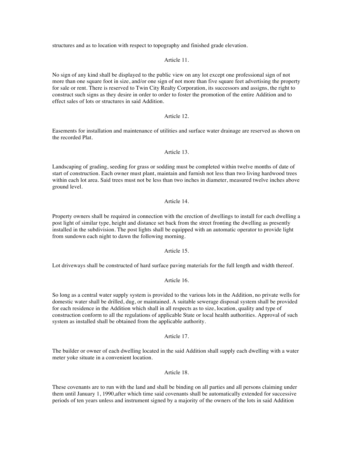structures and as to location with respect to topography and finished grade elevation.

Article 11.

No sign of any kind shall be displayed to the public view on any lot except one professional sign of not more than one square foot in size, and/or one sign of not more than five square feet advertising the property for sale or rent. There is reserved to Twin City Realty Corporation, its successors and assigns, the right to construct such signs as they desire in order to order to foster the promotion of the entire Addition and to effect sales of lots or structures in said Addition.

### Article 12.

Easements for installation and maintenance of utilities and surface water drainage are reserved as shown on the recorded Plat.

## Article 13.

Landscaping of grading, seeding for grass or sodding must be completed within twelve months of date of start of construction. Each owner must plant, maintain and furnish not less than two living hardwood trees within each lot area. Said trees must not be less than two inches in diameter, measured twelve inches above ground level.

### Article 14.

Property owners shall be required in connection with the erection of dwellings to install for each dwelling a post light of similar type, height and distance set back from the street fronting the dwelling as presently installed in the subdivision. The post lights shall be equipped with an automatic operator to provide light from sundown each night to dawn the following morning.

## Article 15.

Lot driveways shall be constructed of hard surface paving materials for the full length and width thereof.

# Article 16.

So long as a central water supply system is provided to the various lots in the Addition, no private wells for domestic water shall be drilled, dug, or maintained. A suitable sewerage disposal system shall be provided for each residence in the Addition which shall in all respects as to size, location, quality and type of construction conform to all the regulations of applicable State or local health authorities. Approval of such system as installed shall be obtained from the applicable authority.

## Article 17.

The builder or owner of each dwelling located in the said Addition shall supply each dwelling with a water meter yoke situate in a convenient location.

### Article 18.

These covenants are to run with the land and shall be binding on all parties and all persons claiming under them until January 1, 1990,after which time said covenants shall be automatically extended for successive periods of ten years unless and instrument signed by a majority of the owners of the lots in said Addition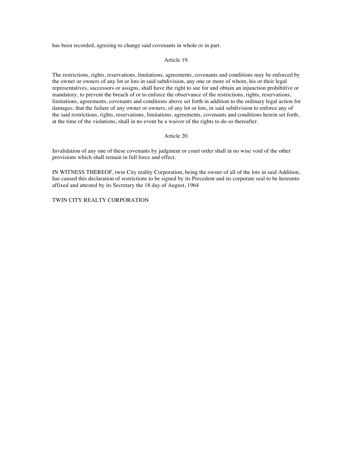has been recorded, agreeing to change said covenants in whole or in part.

### Article 19.

The restrictions, rights, reservations, limitations, agreements, covenants and conditions may be enforced by the owner or owners of any lot or lots in said subdivision, any one or more of whom, his or their legal representatives, successors or assigns, shall have the right to sue for and obtain an injunction prohibitive or mandatory, to prevent the breach of or to enforce the observance of the restrictions, rights, reservations, limitations, agreements, covenants and conditions above set forth in addition to the ordinary legal action for damages; that the failure of any owner or owners, of any lot or lots, in said subdivision to enforce any of the said restrictions, rights, reservations, limitations, agreements, covenants and conditions herein set forth, at the time of the violations, shall in no event be a waiver of the rights to do so thereafter.

## Article 20.

Invalidation of any one of these covenants by judgment or court order shall in no wise void of the other provisions which shall remain in full force and effect.

IN WITNESS THEREOF, twin City reality Corporation, being the owner of all of the lots in said Addition, has caused this declaration of restrictions to be signed by its Precedent and its corporate seal to be hereunto affixed and attested by its Secretary the 18 day of August, 1964

# TWIN CITY REALTY CORPORATION